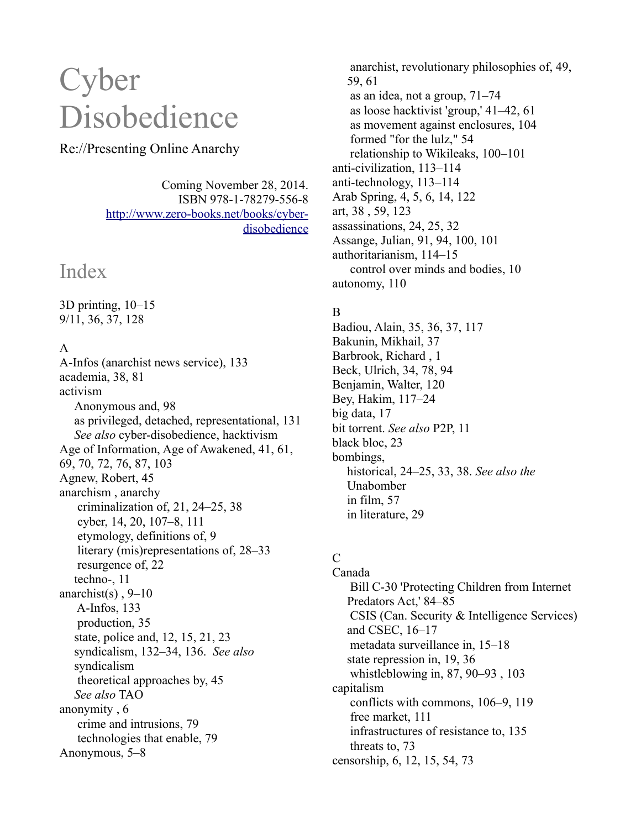# **Cyber** Disobedience

# Re://Presenting Online Anarchy

Coming November 28, 2014. ISBN 978-1-78279-556-8 [http://www.zero-books.net/books/cyber](http://www.zero-books.net/books/cyber-disobedience)[disobedience](http://www.zero-books.net/books/cyber-disobedience)

# Index

3D printing, 10–15 9/11, 36, 37, 128

# A

A-Infos (anarchist news service), 133 academia, 38, 81 activism Anonymous and, 98 as privileged, detached, representational, 131 *See also* cyber-disobedience, hacktivism Age of Information, Age of Awakened, 41, 61, 69, 70, 72, 76, 87, 103 Agnew, Robert, 45 anarchism , anarchy criminalization of, 21, 24–25, 38 cyber, 14, 20, 107–8, 111 etymology, definitions of, 9 literary (mis)representations of, 28–33 resurgence of, 22 techno-, 11 anarchist(s),  $9-10$  A-Infos, 133 production, 35 state, police and, 12, 15, 21, 23 syndicalism, 132–34, 136. *See also* syndicalism theoretical approaches by, 45 *See also* TAO anonymity , 6 crime and intrusions, 79 technologies that enable, 79 Anonymous, 5–8

 anarchist, revolutionary philosophies of, 49, 59, 61 as an idea, not a group, 71–74 as loose hacktivist 'group,' 41–42, 61 as movement against enclosures, 104 formed "for the lulz," 54 relationship to Wikileaks, 100–101 anti-civilization, 113–114 anti-technology, 113–114 Arab Spring, 4, 5, 6, 14, 122 art, 38 , 59, 123 assassinations, 24, 25, 32 Assange, Julian, 91, 94, 100, 101 authoritarianism, 114–15 control over minds and bodies, 10 autonomy, 110

# B

Badiou, Alain, 35, 36, 37, 117 Bakunin, Mikhail, 37 Barbrook, Richard , 1 Beck, Ulrich, 34, 78, 94 Benjamin, Walter, 120 Bey, Hakim, 117–24 big data, 17 bit torrent. *See also* P2P, 11 black bloc, 23 bombings, historical, 24–25, 33, 38. *See also the* Unabomber in film, 57 in literature, 29

# $\overline{C}$

Canada Bill C-30 'Protecting Children from Internet Predators Act,' 84–85 CSIS (Can. Security & Intelligence Services) and CSEC, 16–17 metadata surveillance in, 15–18 state repression in, 19, 36 whistleblowing in, 87, 90–93 , 103 capitalism conflicts with commons, 106–9, 119 free market, 111 infrastructures of resistance to, 135 threats to, 73 censorship, 6, 12, 15, 54, 73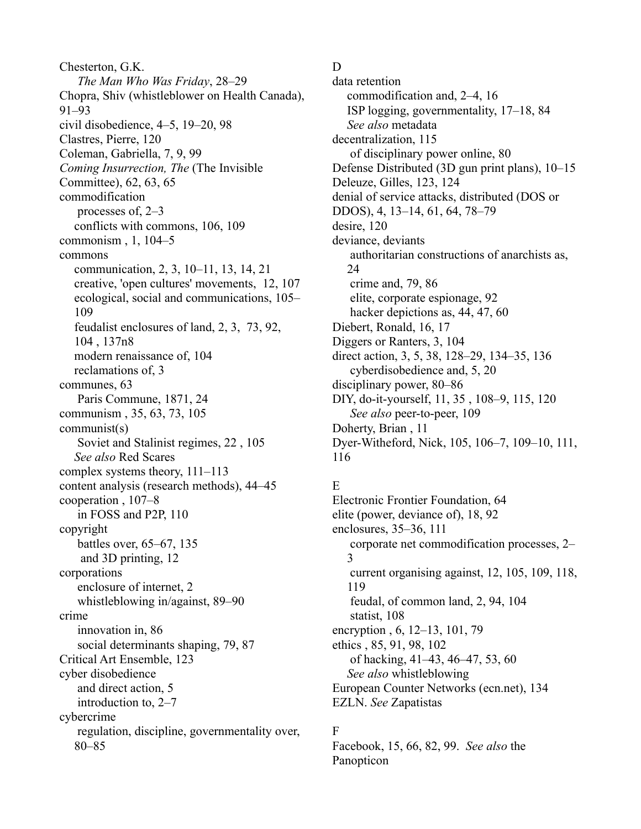Chesterton, G.K. *The Man Who Was Friday*, 28–29 Chopra, Shiv (whistleblower on Health Canada), 91–93 civil disobedience, 4–5, 19–20, 98 Clastres, Pierre, 120 Coleman, Gabriella, 7, 9, 99 *Coming Insurrection, The* (The Invisible Committee), 62, 63, 65 commodification processes of, 2–3 conflicts with commons, 106, 109 commonism , 1, 104–5 commons communication, 2, 3, 10–11, 13, 14, 21 creative, 'open cultures' movements, 12, 107 ecological, social and communications, 105– 109 feudalist enclosures of land, 2, 3, 73, 92, 104 , 137n8 modern renaissance of, 104 reclamations of, 3 communes, 63 Paris Commune, 1871, 24 communism , 35, 63, 73, 105 communist(s) Soviet and Stalinist regimes, 22 , 105 *See also* Red Scares complex systems theory, 111–113 content analysis (research methods), 44–45 cooperation , 107–8 in FOSS and P2P, 110 copyright battles over, 65–67, 135 and 3D printing, 12 corporations enclosure of internet, 2 whistleblowing in/against, 89–90 crime innovation in, 86 social determinants shaping, 79, 87 Critical Art Ensemble, 123 cyber disobedience and direct action, 5 introduction to, 2–7 cybercrime regulation, discipline, governmentality over, 80–85

#### D

data retention commodification and, 2–4, 16 ISP logging, governmentality, 17–18, 84 *See also* metadata decentralization, 115 of disciplinary power online, 80 Defense Distributed (3D gun print plans), 10–15 Deleuze, Gilles, 123, 124 denial of service attacks, distributed (DOS or DDOS), 4, 13–14, 61, 64, 78–79 desire, 120 deviance, deviants authoritarian constructions of anarchists as, 24 crime and, 79, 86 elite, corporate espionage, 92 hacker depictions as, 44, 47, 60 Diebert, Ronald, 16, 17 Diggers or Ranters, 3, 104 direct action, 3, 5, 38, 128–29, 134–35, 136 cyberdisobedience and, 5, 20 disciplinary power, 80–86 DIY, do-it-yourself, 11, 35 , 108–9, 115, 120 *See also* peer-to-peer, 109 Doherty, Brian , 11 Dyer-Witheford, Nick, 105, 106–7, 109–10, 111, 116

# E

Electronic Frontier Foundation, 64 elite (power, deviance of), 18, 92 enclosures, 35–36, 111 corporate net commodification processes, 2– 3 current organising against, 12, 105, 109, 118, 119 feudal, of common land, 2, 94, 104 statist, 108 encryption , 6, 12–13, 101, 79 ethics , 85, 91, 98, 102 of hacking, 41–43, 46–47, 53, 60 *See also* whistleblowing European Counter Networks (ecn.net), 134 EZLN. *See* Zapatistas

# F

Facebook, 15, 66, 82, 99. *See also* the Panopticon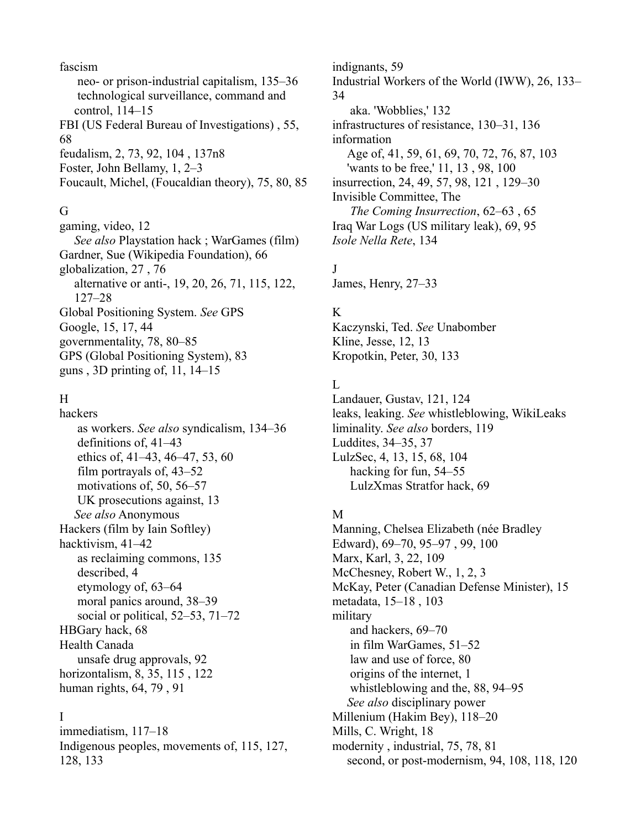fascism neo- or prison-industrial capitalism, 135–36 technological surveillance, command and control, 114–15 FBI (US Federal Bureau of Investigations) , 55, 68 feudalism, 2, 73, 92, 104 , 137n8 Foster, John Bellamy, 1, 2–3 Foucault, Michel, (Foucaldian theory), 75, 80, 85

#### G

gaming, video, 12 *See also* Playstation hack ; WarGames (film) Gardner, Sue (Wikipedia Foundation), 66 globalization, 27 , 76 alternative or anti-, 19, 20, 26, 71, 115, 122, 127–28 Global Positioning System. *See* GPS Google, 15, 17, 44 governmentality, 78, 80–85 GPS (Global Positioning System), 83 guns , 3D printing of, 11, 14–15

# H

hackers as workers. *See also* syndicalism, 134–36 definitions of, 41–43 ethics of, 41–43, 46–47, 53, 60 film portrayals of, 43–52 motivations of, 50, 56–57 UK prosecutions against, 13 *See also* Anonymous Hackers (film by Iain Softley) hacktivism, 41–42 as reclaiming commons, 135 described, 4 etymology of, 63–64 moral panics around, 38–39 social or political, 52–53, 71–72 HBGary hack, 68 Health Canada unsafe drug approvals, 92 horizontalism, 8, 35, 115 , 122 human rights, 64, 79 , 91

#### I

immediatism, 117–18 Indigenous peoples, movements of, 115, 127, 128, 133

indignants, 59 Industrial Workers of the World (IWW), 26, 133– 34 aka. 'Wobblies,' 132 infrastructures of resistance, 130–31, 136 information Age of, 41, 59, 61, 69, 70, 72, 76, 87, 103 'wants to be free,' 11, 13 , 98, 100 insurrection, 24, 49, 57, 98, 121 , 129–30 Invisible Committee, The  *The Coming Insurrection*, 62–63 , 65 Iraq War Logs (US military leak), 69, 95 *Isole Nella Rete*, 134

# J

James, Henry, 27–33

#### K

Kaczynski, Ted. *See* Unabomber Kline, Jesse, 12, 13 Kropotkin, Peter, 30, 133

#### L

Landauer, Gustav, 121, 124 leaks, leaking. *See* whistleblowing, WikiLeaks liminality. *See also* borders, 119 Luddites, 34–35, 37 LulzSec, 4, 13, 15, 68, 104 hacking for fun, 54–55 LulzXmas Stratfor hack, 69

#### M

Manning, Chelsea Elizabeth (née Bradley Edward), 69–70, 95–97 , 99, 100 Marx, Karl, 3, 22, 109 McChesney, Robert W., 1, 2, 3 McKay, Peter (Canadian Defense Minister), 15 metadata, 15–18 , 103 military and hackers, 69–70 in film WarGames, 51–52 law and use of force, 80 origins of the internet, 1 whistleblowing and the, 88, 94–95 *See also* disciplinary power Millenium (Hakim Bey), 118–20 Mills, C. Wright, 18 modernity , industrial, 75, 78, 81 second, or post-modernism, 94, 108, 118, 120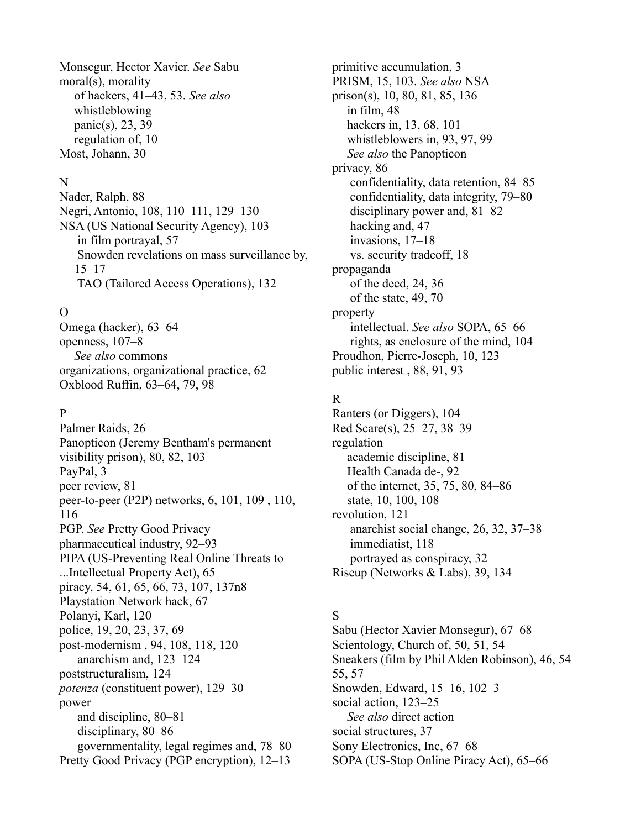Monsegur, Hector Xavier. *See* Sabu moral(s), morality of hackers, 41–43, 53. *See also* whistleblowing panic(s), 23, 39 regulation of, 10 Most, Johann, 30

#### N

Nader, Ralph, 88 Negri, Antonio, 108, 110–111, 129–130 NSA (US National Security Agency), 103 in film portrayal, 57 Snowden revelations on mass surveillance by, 15–17 TAO (Tailored Access Operations), 132

# $\Omega$

Omega (hacker), 63–64 openness, 107–8 *See also* commons organizations, organizational practice, 62 Oxblood Ruffin, 63–64, 79, 98

# P

Palmer Raids, 26 Panopticon (Jeremy Bentham's permanent visibility prison), 80, 82, 103 PayPal, 3 peer review, 81 peer-to-peer (P2P) networks, 6, 101, 109 , 110, 116 PGP. *See* Pretty Good Privacy pharmaceutical industry, 92–93 PIPA (US-Preventing Real Online Threats to ...Intellectual Property Act), 65 piracy, 54, 61, 65, 66, 73, 107, 137n8 Playstation Network hack, 67 Polanyi, Karl, 120 police, 19, 20, 23, 37, 69 post-modernism , 94, 108, 118, 120 anarchism and, 123–124 poststructuralism, 124 *potenza* (constituent power), 129–30 power and discipline, 80–81 disciplinary, 80–86 governmentality, legal regimes and, 78–80 Pretty Good Privacy (PGP encryption), 12–13

primitive accumulation, 3 PRISM, 15, 103. *See also* NSA prison(s), 10, 80, 81, 85, 136 in film, 48 hackers in, 13, 68, 101 whistleblowers in, 93, 97, 99 *See also* the Panopticon privacy, 86 confidentiality, data retention, 84–85 confidentiality, data integrity, 79–80 disciplinary power and, 81–82 hacking and, 47 invasions, 17–18 vs. security tradeoff, 18 propaganda of the deed, 24, 36 of the state, 49, 70 property intellectual. *See also* SOPA, 65–66 rights, as enclosure of the mind, 104 Proudhon, Pierre-Joseph, 10, 123 public interest , 88, 91, 93

#### R

Ranters (or Diggers), 104 Red Scare(s), 25–27, 38–39 regulation academic discipline, 81 Health Canada de-, 92 of the internet, 35, 75, 80, 84–86 state, 10, 100, 108 revolution, 121 anarchist social change, 26, 32, 37–38 immediatist, 118 portrayed as conspiracy, 32 Riseup (Networks & Labs), 39, 134

# S

Sabu (Hector Xavier Monsegur), 67–68 Scientology, Church of, 50, 51, 54 Sneakers (film by Phil Alden Robinson), 46, 54– 55, 57 Snowden, Edward, 15–16, 102–3 social action, 123–25 *See also* direct action social structures, 37 Sony Electronics, Inc, 67–68 SOPA (US-Stop Online Piracy Act), 65–66